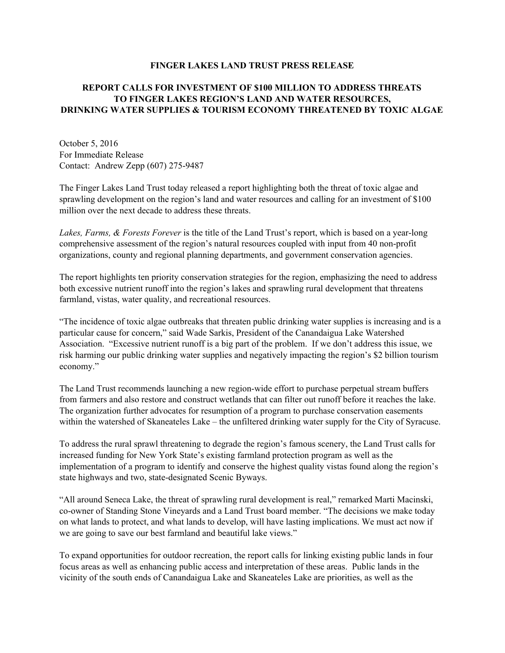## **FINGER LAKES LAND TRUST PRESS RELEASE**

## **REPORT CALLS FOR INVESTMENT OF \$100 MILLION TO ADDRESS THREATS TO FINGER LAKES REGION'S LAND AND WATER RESOURCES, DRINKING WATER SUPPLIES & TOURISM ECONOMY THREATENED BY TOXIC ALGAE**

October 5, 2016 For Immediate Release Contact: Andrew Zepp (607) 275-9487

The Finger Lakes Land Trust today released a report highlighting both the threat of toxic algae and sprawling development on the region's land and water resources and calling for an investment of \$100 million over the next decade to address these threats.

*Lakes, Farms, & Forests Forever* is the title of the Land Trust's report, which is based on a year-long comprehensive assessment of the region's natural resources coupled with input from 40 non-profit organizations, county and regional planning departments, and government conservation agencies.

The report highlights ten priority conservation strategies for the region, emphasizing the need to address both excessive nutrient runoff into the region's lakes and sprawling rural development that threatens farmland, vistas, water quality, and recreational resources.

"The incidence of toxic algae outbreaks that threaten public drinking water supplies is increasing and is a particular cause for concern," said Wade Sarkis, President of the Canandaigua Lake Watershed Association. "Excessive nutrient runoff is a big part of the problem. If we don't address this issue, we risk harming our public drinking water supplies and negatively impacting the region's \$2 billion tourism economy."

The Land Trust recommends launching a new region-wide effort to purchase perpetual stream buffers from farmers and also restore and construct wetlands that can filter out runoff before it reaches the lake. The organization further advocates for resumption of a program to purchase conservation easements within the watershed of Skaneateles Lake – the unfiltered drinking water supply for the City of Syracuse.

To address the rural sprawl threatening to degrade the region's famous scenery, the Land Trust calls for increased funding for New York State's existing farmland protection program as well as the implementation of a program to identify and conserve the highest quality vistas found along the region's state highways and two, state-designated Scenic Byways.

"All around Seneca Lake, the threat of sprawling rural development is real," remarked Marti Macinski, co-owner of Standing Stone Vineyards and a Land Trust board member. "The decisions we make today on what lands to protect, and what lands to develop, will have lasting implications. We must act now if we are going to save our best farmland and beautiful lake views."

To expand opportunities for outdoor recreation, the report calls for linking existing public lands in four focus areas as well as enhancing public access and interpretation of these areas. Public lands in the vicinity of the south ends of Canandaigua Lake and Skaneateles Lake are priorities, as well as the